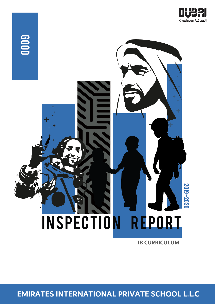



**IB CURRICULUM**

**EMIRATES INTERNATIONAL PRIVATE SCHOOL L.L.C**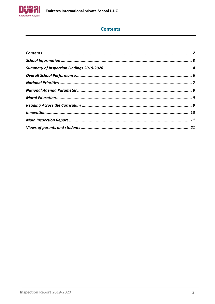<span id="page-1-0"></span>

# **Contents**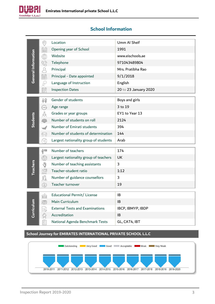

# <span id="page-2-0"></span>**School Information**

|                     | $\odot$                                                                                    | Location                                                       | Umm Al Sheif          |
|---------------------|--------------------------------------------------------------------------------------------|----------------------------------------------------------------|-----------------------|
|                     | Ê                                                                                          | Opening year of School                                         | 1991                  |
|                     | ₩                                                                                          | Website                                                        | www.eischools.ae      |
|                     | G)                                                                                         | Telephone                                                      | 971043489804          |
|                     | $\Omega$                                                                                   | Principal                                                      | Mrs. Pratibha Rao     |
| General Information | 最                                                                                          | Principal - Date appointed                                     | 9/1/2018              |
|                     | $\mathbb{S}$                                                                               | Language of Instruction                                        | English               |
|                     | 圜                                                                                          | <b>Inspection Dates</b>                                        | 20 to 23 January 2020 |
|                     |                                                                                            | Gender of students                                             |                       |
|                     | 释                                                                                          |                                                                | Boys and girls        |
|                     | AGE                                                                                        | Age range                                                      | 3 to 19               |
| Students            | $\frac{\partial}{\partial \theta}$                                                         | Grades or year groups                                          | EY1 to Year 13        |
|                     |                                                                                            | Number of students on roll                                     | 2124                  |
|                     |                                                                                            | Number of Emirati students                                     | 394                   |
|                     | 59?                                                                                        | Number of students of determination                            | 144                   |
|                     |                                                                                            | Largest nationality group of students                          | Arab                  |
|                     | Ĥ″<br>∥                                                                                    | Number of teachers                                             | 174                   |
|                     | $\bigcirc$                                                                                 | Largest nationality group of teachers                          | <b>UK</b>             |
|                     | $\mathbf{\Psi}$                                                                            | Number of teaching assistants                                  | 3                     |
| <b>Teachers</b>     |                                                                                            | Teacher-student ratio                                          | 1:12                  |
|                     | 다 <sub>이</sub><br>2011                                                                     | Number of guidance counsellors                                 | 3                     |
|                     | $\circledS$                                                                                | Teacher turnover                                               | 19                    |
|                     |                                                                                            |                                                                |                       |
|                     | <b>HARRY</b>                                                                               | Educational Permit/ License                                    | IB                    |
|                     |                                                                                            | Main Curriculum                                                | 1B                    |
| Curriculum          | 霉                                                                                          | <b>External Tests and Examinations</b>                         | IBCP, IBMYP, IBDP     |
|                     |                                                                                            | Accreditation                                                  | IB                    |
|                     | $\begin{array}{ c }\hline\mathbf{g}=\mathbf{g} \\ \hline\mathbf{g}=\mathbf{g} \end{array}$ | National Agenda Benchmark Tests                                | GL, CAT4, IBT         |
|                     |                                                                                            | School Journey for EMIRATES INTERNATIONAL PRIVATE SCHOOL L.L.C |                       |

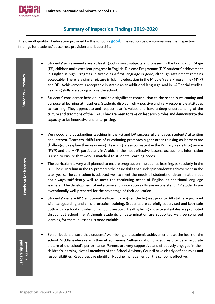

# **Summary of Inspection Findings 2019-2020**

<span id="page-3-0"></span>The overall quality of education provided by the school is **good**. The section below summarises the inspection findings for students' outcomes, provision and leadership.

| <b>Students Outcomes</b>      | Students' achievements are at least good in most subjects and phases. In the Foundation Stage<br>(FS) children make excellent progress in English. Diploma Programme (DP) students' achievement<br>in English is high. Progress in Arabic as a first language is good, although attainment remains<br>acceptable. There is a similar picture in Islamic education in the Middle Years Programme (MYP)<br>and DP. Achievement is acceptable in Arabic as an additional language, and in UAE social studies.<br>Learning skills are strong across the school.<br>Students' considerate behaviour makes a significant contribution to the school's welcoming and<br>purposeful learning atmosphere. Students display highly positive and very responsible attitudes<br>to learning. They appreciate and respect Islamic values and have a deep understanding of the<br>culture and traditions of the UAE. They are keen to take on leadership roles and demonstrate the<br>capacity to be innovative and enterprising. |
|-------------------------------|---------------------------------------------------------------------------------------------------------------------------------------------------------------------------------------------------------------------------------------------------------------------------------------------------------------------------------------------------------------------------------------------------------------------------------------------------------------------------------------------------------------------------------------------------------------------------------------------------------------------------------------------------------------------------------------------------------------------------------------------------------------------------------------------------------------------------------------------------------------------------------------------------------------------------------------------------------------------------------------------------------------------|
|                               |                                                                                                                                                                                                                                                                                                                                                                                                                                                                                                                                                                                                                                                                                                                                                                                                                                                                                                                                                                                                                     |
|                               | Very good and outstanding teaching in the FS and DP successfully engages students' attention<br>and interest. Teachers' skilful use of questioning promotes higher order thinking as learners are<br>challenged to explain their reasoning. Teaching is less consistent in the Primary Years Programme<br>(PYP) and the MYP, particularly in Arabic. In the most effective lessons, assessment information<br>is used to ensure that work is matched to students' learning needs.                                                                                                                                                                                                                                                                                                                                                                                                                                                                                                                                   |
| <b>Provision for learners</b> | The curriculum is very well planned to ensure progression in students' learning, particularly in the<br>DP. The curriculum in the FS promotes the basic skills that underpin students' achievement in the<br>later years. The curriculum is adapted well to meet the needs of students of determination, but<br>not always sufficiently well to meet the continuing needs of English as additional language<br>learners. The development of enterprise and innovation skills are inconsistent. DP students are<br>exceptionally well-prepared for the next stage of their education.                                                                                                                                                                                                                                                                                                                                                                                                                                |
|                               | Students' welfare and emotional well-being are given the highest priority. All staff are provided<br>with safeguarding and child protection training. Students are carefully supervised and kept safe<br>both within school and when on school transport. Healthy living and active lifestyles are promoted<br>throughout school life. Although students of determination are supported well, personalised<br>learning for them in lessons is more variable.                                                                                                                                                                                                                                                                                                                                                                                                                                                                                                                                                        |
|                               |                                                                                                                                                                                                                                                                                                                                                                                                                                                                                                                                                                                                                                                                                                                                                                                                                                                                                                                                                                                                                     |
| Leadership and<br>management  | Senior leaders ensure that students' well-being and academic achievement lie at the heart of the<br>school. Middle leaders vary in their effectiveness. Self-evaluation procedures provide an accurate<br>picture of the school's performance. Parents are very supportive and effectively engaged in their<br>children's learning. Not all members of the School Advisory Council have clearly defined roles and<br>responsibilities. Resources are plentiful. Routine management of the school is effective.                                                                                                                                                                                                                                                                                                                                                                                                                                                                                                      |
|                               |                                                                                                                                                                                                                                                                                                                                                                                                                                                                                                                                                                                                                                                                                                                                                                                                                                                                                                                                                                                                                     |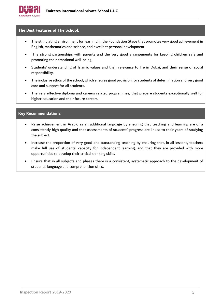

#### **The Best Features of The School:**

- The stimulating environment for learning in the Foundation Stage that promotes very good achievement in English, mathematics and science, and excellent personal development.
- The strong partnerships with parents and the very good arrangements for keeping children safe and promoting their emotional well-being.
- Students' understanding of Islamic values and their relevance to life in Dubai, and their sense of social responsibility.
- The inclusive ethos of the school, which ensures good provision for students of determination and very good care and support for all students.
- The very effective diploma and careers related programmes, that prepare students exceptionally well for higher education and their future careers.

#### **Key Recommendations:**

- Raise achievement in Arabic as an additional language by ensuring that teaching and learning are of a consistently high quality and that assessments of students' progress are linked to their years of studying the subject.
- Increase the proportion of very good and outstanding teaching by ensuring that, in all lessons, teachers make full use of students' capacity for independent learning, and that they are provided with more opportunities to develop their critical thinking skills.
- Ensure that in all subjects and phases there is a consistent, systematic approach to the development of students' language and comprehension skills.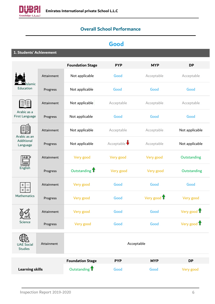<span id="page-5-0"></span>

# **Overall School Performance**

# **Good**

**1. Students' Achievement**

|                                     |            | <b>Foundation Stage</b>  | <b>PYP</b> | <b>MYP</b>  | <b>DP</b>      |
|-------------------------------------|------------|--------------------------|------------|-------------|----------------|
|                                     | Attainment | Not applicable           | Good       | Acceptable  | Acceptable     |
| Islamic<br>Education                | Progress   | Not applicable           | Good       | Good        | Good           |
|                                     | Attainment | Not applicable           | Acceptable | Acceptable  | Acceptable     |
| Arabic as a<br>First Language       | Progress   | Not applicable           | Good       | Good        | Good           |
| Arabic as an                        | Attainment | Not applicable           | Acceptable | Acceptable  | Not applicable |
| Additional<br>Language              | Progress   | Not applicable           | Acceptable | Acceptable  | Not applicable |
| АВСР                                | Attainment | Very good                | Very good  | Very good   | Outstanding    |
| English                             | Progress   | Outstanding <sup>1</sup> | Very good  | Very good   | Outstanding    |
| $\pmb{+}$<br>$\times$               | Attainment | Very good                | Good       | Good        | Good           |
| Mathematics                         | Progress   | Very good                | Good       | Very good 1 | Very good      |
|                                     | Attainment | Very good                | Good       | Good        | Very good 1    |
| Science                             | Progress   | Very good                | Good       | Good.       | Very good 1    |
| <b>UAE Social</b><br><b>Studies</b> | Attainment |                          | Acceptable |             |                |
|                                     |            | <b>Foundation Stage</b>  | <b>PYP</b> | <b>MYP</b>  | <b>DP</b>      |
| <b>Learning skills</b>              |            | Outstanding <sup>1</sup> | Good       | Good        | Very good      |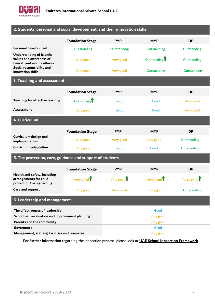

### **2. Students' personal and social development, and their innovation skills**

|                                                                                                 | <b>Foundation Stage</b>  | <b>PYP</b>  | <b>MYP</b>               | <b>DP</b>   |  |
|-------------------------------------------------------------------------------------------------|--------------------------|-------------|--------------------------|-------------|--|
| <b>Personal development</b>                                                                     | Outstanding              | Outstanding | Outstanding              | Outstanding |  |
| <b>Understanding of Islamic</b><br>values and awareness of<br><b>Emirati and world cultures</b> | Very good                | Very good   | Outstanding <sup>1</sup> | Outstanding |  |
| Social responsibility and<br>innovation skills                                                  | Very good                | Very good   | Outstanding              | Outstanding |  |
| 3. Teaching and assessment                                                                      |                          |             |                          |             |  |
|                                                                                                 | <b>Foundation Stage</b>  | <b>PYP</b>  | <b>MYP</b>               | <b>DP</b>   |  |
| <b>Teaching for effective learning</b>                                                          | Outstanding <sup>1</sup> | Good        | Good                     | Very good   |  |
| <b>Assessment</b>                                                                               | Very good                | Good        | Good                     | Very good   |  |
| 4. Curriculum                                                                                   |                          |             |                          |             |  |
|                                                                                                 | <b>Foundation Stage</b>  | <b>PYP</b>  | <b>MYP</b>               | <b>DP</b>   |  |
| Curriculum design and<br>implementation                                                         | Very good                | Very good   | Very good                | Outstanding |  |
| <b>Curriculum adaptation</b>                                                                    | Very good                | Good        | Good                     | Outstanding |  |
| 5. The protection, care, guidance and support of students                                       |                          |             |                          |             |  |
|                                                                                                 | <b>Foundation Stage</b>  | <b>PYP</b>  | <b>MYP</b>               | <b>DP</b>   |  |
| Health and safety, including<br>arrangements for child<br>protection/ safeguarding              | Very good $\mathbf T$    | Very good I | Very good $\mathbf T$    | Very good   |  |
| Care and support                                                                                | Very good                | Very good   | Very good                | Outstanding |  |
| 6. Leadership and management                                                                    |                          |             |                          |             |  |
| The effectiveness of leadership                                                                 |                          |             | Good                     |             |  |
| School self-evaluation and improvement planning                                                 |                          |             | Very good                |             |  |
| <b>Parents and the community</b>                                                                |                          |             | Very good                |             |  |
| Governance                                                                                      |                          |             | Good                     |             |  |
| Management, staffing, facilities and resources                                                  |                          |             | Very good                |             |  |

<span id="page-6-0"></span>For further information regarding the inspection process, please look at **[UAE School Inspection Framework](https://www.khda.gov.ae/Areas/Administration/Content/FileUploads/Publication/Documents/English/20170112135640_KHDAINSPECTIONFRAMEWORKEN.pdf)**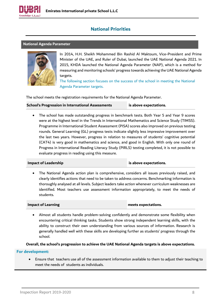

# **National Priorities**

#### <span id="page-7-0"></span>**National Agenda Parameter**



In 2014, H.H. Sheikh Mohammed Bin Rashid Al Maktoum, Vice-President and Prime Minister of the UAE, and Ruler of Dubai, launched the UAE National Agenda 2021. In 2015, KHDA launched the National Agenda Parameter (NAP), which is a method for measuring and monitoring schools' progress towards achieving the UAE National Agenda targets.

The following section focuses on the success of the school in meeting the National Agenda Parameter targets.

The school meets the registration requirements for the National Agenda Parameter.

**School's Progression in International Assessments is above expectations.**

• The school has made outstanding progress in benchmark tests. Both Year 5 and Year 9 scores were at the highest level in the Trends in International Mathematics and Science Study (TIMSS). Programme in International Student Assessment (PISA) scores also improved on previous testing rounds. General Learning (GL) progress tests indicate slightly less impressive improvement over the last two years. However, progress in relation to measures of students' cognitive potential (CAT4) is very good in mathematics and science, and good in English. With only one round of Progress in International Reading Literacy Study (PIRLS) testing completed, it is not possible to evaluate progress in reading using this measure.

#### **Impact of Leadership is above expectations.**

• The National Agenda action plan is comprehensive, considers all issues previously raised, and clearly identifies actions that need to be taken to address concerns. Benchmarking information is thoroughly analysed at all levels. Subject leaders take action whenever curriculum weaknesses are identified. Most teachers use assessment information appropriately, to meet the needs of students.

**Impact of Learning meets expectations.**

• Almost all students handle problem-solving confidently and demonstrate some flexibility when encountering critical thinking tasks. Students show strong independent learning skills, with the ability to construct their own understanding from various sources of information. Research is generally handled well with these skills are developing further as students' progress through the school.

**Overall, the school's progression to achieve the UAE National Agenda targets is above expectations.**

#### **For development:**

• Ensure that teachers use all of the assessment information available to them to adjust their teaching to meet the needs of students as individuals.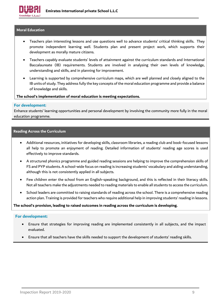

#### <span id="page-8-0"></span>**Moral Education**

- Teachers plan interesting lessons and use questions well to advance students' critical thinking skills. They promote independent learning well. Students plan and present project work, which supports their development as morally mature citizens.
- Teachers capably evaluate students' levels of attainment against the curriculum standards and International Baccalaureate (IB) requirements. Students are involved in analysing their own levels of knowledge, understanding and skills, and in planning for improvement.
- Learning is supported by comprehensive curriculum maps, which are well planned and closely aligned to the IB units of study. They address fully the key concepts of the moral education programme and provide a balance of knowledge and skills.

#### **The school's implementation of moral education is meeting expectations.**

#### **For development:**

Enhance students' learning opportunities and personal development by involving the community more fully in the moral education programme.

#### <span id="page-8-1"></span>**Reading Across the Curriculum**

- Additional resources, initiatives for developing skills, classroom libraries, a reading club and book-focused lessons all help to promote an enjoyment of reading. Detailed information of students' reading age scores is used effectively to improve standards.
- A structured phonics programme and guided reading sessions are helping to improve the comprehension skills of FS and PYP students. A school-wide focus on reading is increasing students' vocabulary and aiding understanding, although this is not consistently applied in all subjects.
- Few children enter the school from an English-speaking background, and this is reflected in their literacy skills. Not all teachers make the adjustments needed to reading materials to enable all students to access the curriculum.
- School leaders are committed to raising standards of reading across the school. There is a comprehensive reading action plan. Training is provided for teachers who require additional help in improving students' reading in lessons.

#### **The school's provision, leading to raised outcomes in reading across the curriculum is developing.**

#### **For development:**

- Ensure that strategies for improving reading are implemented consistently in all subjects, and the impact evaluated.
- Ensure that all teachers have the skills needed to support the development of students' reading skills.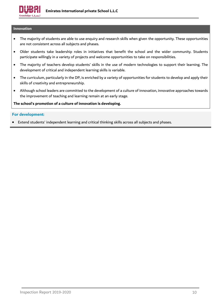

#### <span id="page-9-0"></span>**Innovation**

- The majority of students are able to use enquiry and research skills when given the opportunity. These opportunities are not consistent across all subjects and phases.
- Older students take leadership roles in initiatives that benefit the school and the wider community. Students participate willingly in a variety of projects and welcome opportunities to take on responsibilities.
- The majority of teachers develop students' skills in the use of modern technologies to support their learning. The development of critical and independent learning skills is variable.
- The curriculum, particularly in the DP, is enriched by a variety of opportunities for students to develop and apply their skills of creativity and entrepreneurship.
- Although school leaders are committed to the development of a culture of innovation, innovative approaches towards the improvement of teaching and learning remain at an early stage.

**The school's promotion of a culture of innovation is developing.**

#### **For development:**

• Extend students' independent learning and critical thinking skills across all subjects and phases.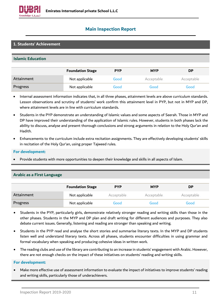

# <span id="page-10-0"></span>**Main Inspection Report**

### **1. Students' Achievement**

#### **Islamic Education**

|            | <b>Foundation Stage</b> | <b>PYP</b> | <b>MYP</b> | <b>DP</b>   |
|------------|-------------------------|------------|------------|-------------|
| Attainment | Not applicable          | Good       | Acceptable | Acceptable. |
| Progress   | Not applicable          | Good       | Good       | Good        |

- Internal assessment information indicates that, in all three phases, attainment levels are above curriculum standards. Lesson observations and scrutiny of students' work confirm this attainment level in PYP, but not in MYP and DP, where attainment levels are in line with curriculum standards.
- Students in the PYP demonstrate an understanding of Islamic values and some aspects of Seerah. Those in MYP and DP have improved their understanding of the application of Islamic rules. However, students in both phases lack the ability to discuss, analyse and present thorough conclusions and strong arguments in relation to the Holy Qur'an and Hadith.
- Enhancements to the curriculum include extra recitation assignments. They are effectively developing students' skills in recitation of the Holy Qur'an, using proper Tajweed rules.

#### **For development:**

• Provide students with more opportunities to deepen their knowledge and skills in all aspects of Islam.

|            | <b>Foundation Stage</b> | <b>PYP</b> | <b>MYP</b> | <b>DP</b>   |
|------------|-------------------------|------------|------------|-------------|
| Attainment | Not applicable          | Acceptable | Acceptable | Acceptable. |
| Progress   | Not applicable          | Good       | Good       | Good        |

### **Arabic as a First Language**

- Students in the PYP, particularly girls, demonstrate relatively stronger reading and writing skills than those in the other phases. Students in the MYP and DP plan and draft writing for different audiences and purposes. They also debate current issues. Generally, listening and reading are stronger than speaking and writing.
- Students in the PYP read and analyse the short stories and summarise literary texts. In the MYP and DP students listen well and understand literary texts. Across all phases, students encounter difficulties in using grammar and formal vocabulary when speaking and producing cohesive ideas in written work.
- The reading clubs and use of the library are contributing to an increase in students' engagement with Arabic. However, there are not enough checks on the impact of these initiatives on students' reading and writing skills.

#### **For development:**

• Make more effective use of assessment information to evaluate the impact of initiatives to improve students' reading and writing skills, particularly those of underachievers.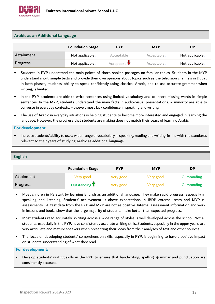

#### **Arabic as an Additional Language**

|            | <b>Foundation Stage</b> | <b>PYP</b>                 | <b>MYP</b> | <b>DP</b>      |
|------------|-------------------------|----------------------------|------------|----------------|
| Attainment | Not applicable          | Acceptable                 | Acceptable | Not applicable |
| Progress   | Not applicable          | Acceptable $\blacklozenge$ | Acceptable | Not applicable |

- Students in PYP understand the main points of short, spoken passages on familiar topics. Students in the MYP understand short, simple texts and provide their own opinions about topics such as the television channels in Dubai. In both phases, students' ability to speak confidently using classical Arabic, and to use accurate grammar when writing, is limited.
- In the PYP, students are able to write sentences using limited vocabulary and to insert missing words in simple sentences. In the MYP, students understand the main facts in audio-visual presentations. A minority are able to converse in everyday contexts. However, most lack confidence in speaking and writing.
- The use of Arabic in everyday situations is helping students to become more interested and engaged in learning the language. However, the progress that students are making does not match their years of learning Arabic.

#### **For development:**

• Increase students' ability to use a wider range of vocabulary in speaking, reading and writing, in line with the standards relevant to their years of studying Arabic as additional language.

#### **English**

|            | <b>Foundation Stage</b> | <b>PYP</b> | <b>MYP</b> | <b>DP</b>   |
|------------|-------------------------|------------|------------|-------------|
| Attainment | Very good               | Very good  | Very good  | Outstanding |
| Progress   | Outstanding T           | Very good  | Very good  | Outstanding |

- Most children in FS start by learning English as an additional language. They make rapid progress, especially in speaking and listening. Students' achievement is above expectations in IBDP external tests and MYP eassessments. GL test data from the PYP and MYP are not as positive. Internal assessment information and work in lessons and books show that the large majority of students make better than expected progress.
- Most students read accurately. Writing across a wide range of styles is well developed across the school. Not all students, especially in the PYP, have consistently accurate writing skills. Students, especially in the upper years, are very articulate and mature speakers when presenting their ideas from their analyses of text and other sources
- The focus on developing students' comprehension skills, especially in PYP, is beginning to have a positive impact on students' understanding of what they read.

#### **For development:**

• Develop students' writing skills in the PYP to ensure that handwriting, spelling, grammar and punctuation are consistently accurate.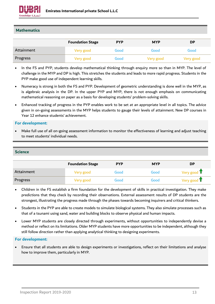

#### **Mathematics**

|            | <b>Foundation Stage</b> | <b>PYP</b> | <b>MYP</b> | <b>DP</b> |
|------------|-------------------------|------------|------------|-----------|
| Attainment | Very good               | Good .     | Good       | Good      |
| Progress   | Very good               | Good       | Very good  | Very good |

- In the FS and PYP, students develop mathematical thinking through enquiry more so than in MYP. The level of challenge in the MYP and DP is high. This stretches the students and leads to more rapid progress. Students in the PYP make good use of independent learning skills.
- Numeracy is strong in both the FS and PYP. Development of geometric understanding is done well in the MYP, as is algebraic analysis in the DP. In the upper PYP and MYP, there is not enough emphasis on communicating mathematical reasoning on paper as a basis for developing students' problem-solving skills.
- Enhanced tracking of progress in the PYP enables work to be set at an appropriate level in all topics. The advice given in on-going assessments in the MYP helps students to gauge their levels of attainment. New DP courses in Year 12 enhance students' achievement.

#### **For development:**

• Make full use of all on-going assessment information to monitor the effectiveness of learning and adjust teaching to meet students' individual needs.

#### **Science**

|            | <b>Foundation Stage</b> | <b>PYP</b> | <b>MYP</b> | <b>DP</b>             |
|------------|-------------------------|------------|------------|-----------------------|
| Attainment | Very good               | Good .     | Good       | Very good $\mathbf T$ |
| Progress   | Very good               | Good .     | Good       | Very good $\mathbf T$ |

- Children in the FS establish a firm foundation for the development of skills in practical investigation. They make predictions that they check by recording their observations. External assessment results of DP students are the strongest, illustrating the progress made through the phases towards becoming inquirers and critical thinkers.
- Students in the PYP are able to create models to simulate biological systems. They also simulate processes such as that of a tsunami using sand, water and building blocks to observe physical and human impacts.
- Lower MYP students are closely directed through experiments, without opportunities to independently devise a method or reflect on its limitations. Older MYP students have more opportunities to be independent, although they still follow direction rather than applying analytical thinking to designing experiments.

#### **For development:**

• Ensure that all students are able to design experiments or investigations, reflect on their limitations and analyse how to improve them, particularly in MYP.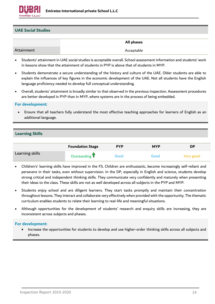

#### **UAE Social Studies**

|            | All phases |
|------------|------------|
| Attainment | Acceptable |

- Students' attainment in UAE social studies is acceptable overall. School assessment information and students' work in lessons show that the attainment of students in PYP is above that of students in MYP.
- Students demonstrate a secure understanding of the history and culture of the UAE. Older students are able to explain the influences of key figures in the economic development of the UAE. Not all students have the English language proficiency needed to develop full conceptual understanding.
- Overall, students' attainment is broadly similar to that observed in the previous inspection. Assessment procedures are better developed in PYP than in MYP, where systems are in the process of being embedded.

#### **For development:**

• Ensure that all teachers fully understand the most effective teaching approaches for learners of English as an additional language.

#### **Learning Skills**

|                 | <b>Foundation Stage</b> | <b>PYP</b> | <b>MYP</b> | <b>DP</b> |
|-----------------|-------------------------|------------|------------|-----------|
| Learning skills | Outstanding $\mathbf T$ | Good       | Good       | Very good |

- Children's' learning skills have improved in the FS. Children are enthusiastic, become increasingly self-reliant and persevere in their tasks, even without supervision. In the DP, especially in English and science, students develop strong critical and independent thinking skills. They communicate very confidently and maturely when presenting their ideas to the class. These skills are not as well developed across all subjects in the PYP and MYP.
- Students enjoy school and are diligent learners. They start tasks promptly and maintain their concentration throughout lessons. They interact and collaborate very effectively when provided with the opportunity. The thematic curriculum enables students to relate their learning to real-life and meaningful situations.
- Although opportunities for the development of students' research and enquiry skills are increasing, they are inconsistent across subjects and phases.

#### **For development:**

• Increase the opportunities for students to develop and use higher-order thinking skills across all subjects and phases.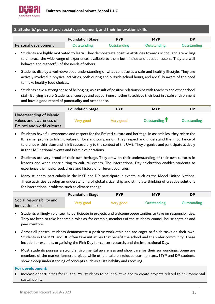

#### **2. Students' personal and social development, and their innovation skills**

|                      | <b>Foundation Stage</b> | <b>PYP</b>  | <b>MYP</b>  | DP          |
|----------------------|-------------------------|-------------|-------------|-------------|
| Personal development | Outstanding             | Outstanding | Outstanding | Outstanding |

- Students are highly motivated to learn. They demonstrate positive attitudes towards school and are willing to embrace the wide range of experiences available to them both inside and outside lessons. They are well behaved and respectful of the needs of others.
- Students display a well-developed understanding of what constitutes a safe and healthy lifestyle. They are actively involved in physical activities, both during and outside school hours, and are fully aware of the need to make healthy food choices.
- Students have a strong sense of belonging, as a result of positive relationships with teachers and other school staff. Bullying is rare. Students encourage and support one another to achieve their best in a safe environment and have a good record of punctuality and attendance.

|                                                                                   | <b>Foundation Stage</b> | <b>PYP</b> | <b>MYP</b>    | DP                 |
|-----------------------------------------------------------------------------------|-------------------------|------------|---------------|--------------------|
| Understanding of Islamic<br>values and awareness of<br>Emirati and world cultures | Very good               | Very good  | Outstanding T | <b>Outstanding</b> |

- Students have full awareness and respect for the Emirati culture and heritage. In assemblies, they relate the IB learner profile to Islamic values of love and compassion. They respect and understand the importance of tolerance within Islam and link it successfully to the context of the UAE. They organise and participate actively in the UAE national events and Islamic celebrations.
- Students are very proud of their own heritage. They draw on their understanding of their own cultures in lessons and when contributing to cultural events. The International Day celebration enables students to experience the music, food, dress and history of different countries.
- Many students, particularly in the MYP and DP, participate in events, such as the Model United Nations. These activities develop an understanding of global citizenship and stimulate thinking of creative solutions for international problems such as climate change.

|                                                | <b>Foundation Stage</b> | <b>PYP</b> | <b>MYP</b>  | DP                 |
|------------------------------------------------|-------------------------|------------|-------------|--------------------|
| Social responsibility and<br>innovation skills | Very good.              | Very good  | Outstanding | <b>Outstanding</b> |

- Students willingly volunteer to participate in projects and welcome opportunities to take on responsibilities. They are keen to take leadership roles as, for example, members of the students' council, house captains and peer mentors.
- Across all phases, students demonstrate a positive work ethic and are eager to finish tasks on their own. Students in the MYP and DP often take initiatives that benefit the school and the wider community. These include, for example, organising the Pink Day for cancer research, and the International Day.
- Most students possess a strong environmental awareness and show care for their surroundings. Some are members of the market farmers project, while others take on roles as eco-monitors. MYP and DP students show a deep understanding of concepts such as sustainability and recycling.

#### **For development:**

• Increase opportunities for FS and PYP students to be innovative and to create projects related to environmental sustainability.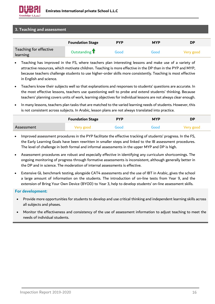

#### **3. Teaching and assessment**

|                                    | <b>Foundation Stage</b> | <b>PYP</b> | <b>MYP</b> | <b>DP</b> |
|------------------------------------|-------------------------|------------|------------|-----------|
| Teaching for effective<br>learning | Outstanding T           | Good       | Good       | Very good |

- Teaching has improved in the FS, where teachers plan interesting lessons and make use of a variety of attractive resources, which motivate children. Teaching is more effective in the DP than in the PYP and MYP, because teachers challenge students to use higher-order skills more consistently. Teaching is most effective in English and science.
- Teachers know their subjects well so that explanations and responses to students' questions are accurate. In the most effective lessons, teachers use questioning well to probe and extend students' thinking. Because teachers' planning covers units of work, learning objectives for individual lessons are not always clear enough.
- In many lessons, teachers plan tasks that are matched to the varied learning needs of students. However, this is not consistent across subjects. In Arabic, lesson plans are not always translated into practice.

|            | <b>Foundation Stage</b> | <b>PYP</b> | <b>MYP</b> | <b>DP</b> |
|------------|-------------------------|------------|------------|-----------|
| Assessment | Very good               | Good       | Good       | Very good |

- Improved assessment procedures in the PYP facilitate the effective tracking of students' progress. In the FS, the Early Learning Goals have been rewritten in smaller steps and linked to the IB assessment procedures. The level of challenge in both formal and informal assessments in the upper MYP and DP is high.
- Assessment procedures are robust and especially effective in identifying any curriculum shortcomings. The ongoing monitoring of progress through formative assessments is inconsistent, although generally better in the DP and in science. The moderation of internal assessments is effective.
- Extensive GL benchmark testing, alongside CAT4 assessments and the use of IBT in Arabic, gives the school a large amount of information on the students. The introduction of on-line tests from Year 9, and the extension of Bring Your Own Device (BYOD) to Year 3, help to develop students' on-line assessment skills.

#### **For development:**

- Provide more opportunities for students to develop and use critical thinking and independent learning skills across all subjects and phases.
- Monitor the effectiveness and consistency of the use of assessment information to adjust teaching to meet the needs of individual students.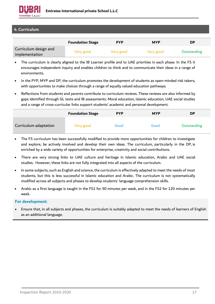

#### **4. Curriculum**

|                                         | <b>Foundation Stage</b> | <b>PYP</b> | <b>MYP</b> | <b>DP</b>   |
|-----------------------------------------|-------------------------|------------|------------|-------------|
| Curriculum design and<br>implementation | Very good               | Very good  | Very good  | Outstanding |

- The curriculum is clearly aligned to the IB Learner profile and to UAE priorities in each phase. In the FS it encourages independent inquiry and enables children to think and to communicate their ideas in a range of environments.
- In the PYP, MYP and DP, the curriculum promotes the development of students as open-minded risk takers, with opportunities to make choices through a range of equally valued education pathways.
- Reflections from students and parents contribute to curriculum reviews. These reviews are also informed by gaps identified through GL tests and IB assessments. Moral education, Islamic education, UAE social studies and a range of cross-curricular links support students' academic and personal development.

|                       | <b>Foundation Stage</b> | <b>PYP</b> | <b>MYP</b> | <b>DP</b>   |
|-----------------------|-------------------------|------------|------------|-------------|
| Curriculum adaptation | Very good               | Good       | Good       | Outstanding |

- The FS curriculum has been successfully modified to provide more opportunities for children to investigate and explore, be actively involved and develop their own ideas. The curriculum, particularly in the DP, is enriched by a wide variety of opportunities for enterprise, creativity and social contributions.
- There are very strong links to UAE culture and heritage in Islamic education, Arabic and UAE social studies. However, these links are not fully integrated into all aspects of the curriculum.
- In some subjects, such as English and science, the curriculum is effectively adapted to meet the needs of most students, but this is less successful in Islamic education and Arabic. The curriculum is not systematically modified across all subjects and phases to develop students' language comprehension skills.
- Arabic as a first language is taught in the FS1 for 90 minutes per week, and in the FS2 for 120 minutes per week.

#### **For development:**

• Ensure that, in all subjects and phases, the curriculum is suitably adapted to meet the needs of learners of English as an additional language.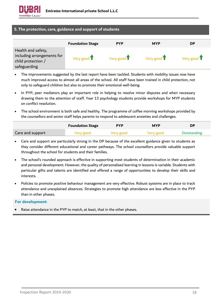

#### **5. The protection, care, guidance and support of students**

|                                                                                        | <b>Foundation Stage</b>      | <b>PYP</b>                   | <b>MYP</b>                   | <b>DP</b>                    |
|----------------------------------------------------------------------------------------|------------------------------|------------------------------|------------------------------|------------------------------|
| Health and safety,<br>including arrangements for<br>child protection /<br>safeguarding | Very good $\mathbf{\hat{I}}$ | Very good $\mathbf{\hat{T}}$ | Very good $\mathbf{\hat{I}}$ | Very good $\mathbf{\hat{T}}$ |

- The improvements suggested by the last report have been tackled. Students with mobility issues now have much improved access to almost all areas of the school. All staff have been trained in child protection, not only to safeguard children but also to promote their emotional well-being.
- In PYP, peer mediators play an important role in helping to resolve minor disputes and when necessary drawing them to the attention of staff. Year 13 psychology students provide workshops for MYP students on conflict resolution.
- The school environment is both safe and healthy. The programme of coffee morning workshops provided by the counsellors and senior staff helps parents to respond to adolescent anxieties and challenges.

|                  | <b>Foundation Stage</b> | <b>PYP</b> | <b>MYP</b> | DP          |
|------------------|-------------------------|------------|------------|-------------|
| Care and support | Very good               | Very good  | Very good  | Outstanding |

- Care and support are particularly strong in the DP because of the excellent guidance given to students as they consider different educational and career pathways. The school counsellors provide valuable support throughout the school for students and their families.
- The school's rounded approach is effective in supporting most students of determination in their academic and personal development. However, the quality of personalised learning in lessons is variable. Students with particular gifts and talents are identified and offered a range of opportunities to develop their skills and interests.
- Policies to promote positive behaviour management are very effective. Robust systems are in place to track attendance and unexplained absences. Strategies to promote high attendance are less effective in the PYP than in other phases.

#### **For development:**

Raise attendance in the PYP to match, at least, that in the other phases.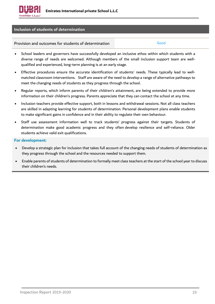

#### **Inclusion of students of determination**

Provision and outcomes for students of determination Frovision and Good

- School leaders and governors have successfully developed an inclusive ethos within which students with a diverse range of needs are welcomed. Although members of the small inclusion support team are wellqualified and experienced, long-term planning is at an early stage.
- Effective procedures ensure the accurate identification of students' needs. These typically lead to wellmatched classroom interventions. Staff are aware of the need to develop a range of alternative pathways to meet the changing needs of students as they progress through the school.
- Regular reports, which inform parents of their children's attainment, are being extended to provide more information on their children's progress. Parents appreciate that they can contact the school at any time.
- Inclusion teachers provide effective support, both in lessons and withdrawal sessions. Not all class teachers are skilled in adapting learning for students of determination. Personal development plans enable students to make significant gains in confidence and in their ability to regulate their own behaviour.
- Staff use assessment information well to track students' progress against their targets. Students of determination make good academic progress and they often develop resilience and self-reliance. Older students achieve valid exit qualifications.

#### **For development:**

- Develop a strategic plan for inclusion that takes full account of the changing needs of students of determination as they progress through the school and the resources needed to support them.
- Enable parents of students of determination to formally meet class teachers at the start of the school year to discuss their children's needs.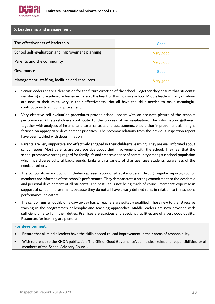

#### **6. Leadership and management**

| The effectiveness of leadership                 | Good      |
|-------------------------------------------------|-----------|
| School self-evaluation and improvement planning | Very good |
| Parents and the community                       | Very good |
| Governance                                      | Good      |
| Management, staffing, facilities and resources  | Very good |

- Senior leaders share a clear vision for the future direction of the school. Together they ensure that students' well-being and academic achievement are at the heart of this inclusive school. Middle leaders, many of whom are new to their roles, vary in their effectiveness. Not all have the skills needed to make meaningful contributions to school improvement.
- Very effective self-evaluation procedures provide school leaders with an accurate picture of the school's performance. All stakeholders contribute to the process of self-evaluation. The information gathered, together with analyses of internal and external tests and assessments, ensure that improvement planning is focused on appropriate development priorities. The recommendations from the previous inspection report have been tackled with determination.
- Parents are very supportive and effectively engaged in their children's learning. They are well informed about school issues. Most parents are very positive about their involvement with the school. They feel that the school promotes a strong regard for family life and creates a sense of community amongst a school population which has diverse cultural backgrounds. Links with a variety of charities raise students' awareness of the needs of others.
- The School Advisory Council includes representation of all stakeholders. Through regular reports, council members are informed of the school's performance. They demonstrate a strong commitment to the academic and personal development of all students. The best use is not being made of council members' expertise in support of school improvement, because they do not all have clearly defined roles in relation to the school's performance indicators.
- The school runs smoothly on a day-to-day basis. Teachers are suitably qualified. Those new to the IB receive training in the programme's philosophy and teaching approaches. Middle leaders are now provided with sufficient time to fulfil their duties. Premises are spacious and specialist facilities are of a very good quality. Resources for learning are plentiful.

#### **For development:**

- Ensure that all middle leaders have the skills needed to lead improvement in their areas of responsibility.
- With reference to the KHDA publication 'The Gift of Good Governance', define clear roles and responsibilities for all members of the School Advisory Council.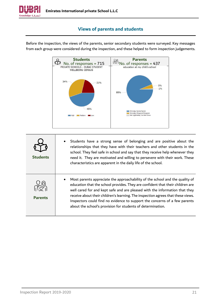

# **Views of parents and students**



<span id="page-20-0"></span>Before the inspection, the views of the parents, senior secondary students were surveyed. Key messages from each group were considered during the inspection, and these helped to form inspection judgements.

| <b>Students</b> | Students have a strong sense of belonging and are positive about the<br>relationships that they have with their teachers and other students in the<br>school. They feel safe in school and say that they receive help whenever they<br>need it. They are motivated and willing to persevere with their work. These<br>characteristics are apparent in the daily life of the school.                                                                                            |
|-----------------|--------------------------------------------------------------------------------------------------------------------------------------------------------------------------------------------------------------------------------------------------------------------------------------------------------------------------------------------------------------------------------------------------------------------------------------------------------------------------------|
| <b>Parents</b>  | Most parents appreciate the approachability of the school and the quality of<br>education that the school provides. They are confident that their children are<br>well cared for and kept safe and are pleased with the information that they<br>receive about their children's learning. The inspection agrees that these views.<br>Inspectors could find no evidence to support the concerns of a few parents<br>about the school's provision for students of determination. |